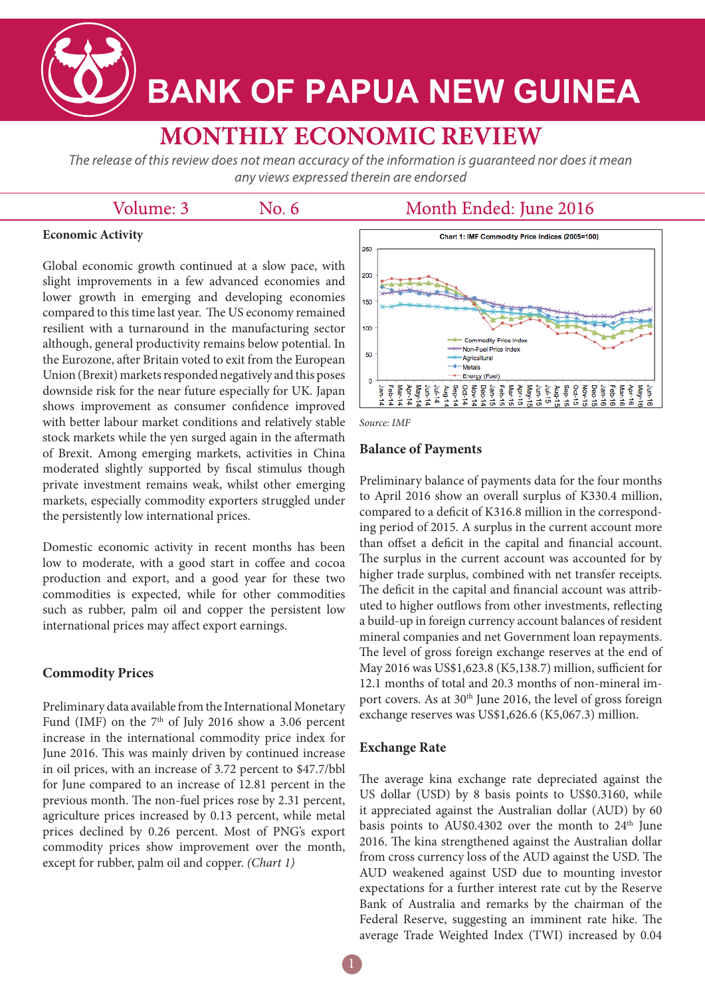

# **BANK OF PAPUA NEW GUINEA**

# **MONTHLY ECONOMIC REVIEW**

The release of this review does not mean accuracy of the information is quaranteed nor does it mean any views expressed therein are endorsed

### Volume: 3

No. 6

## Month Ended: June 2016

#### **Economic Activity**

Global economic growth continued at a slow pace, with slight improvements in a few advanced economies and lower growth in emerging and developing economies compared to this time last year. The US economy remained resilient with a turnaround in the manufacturing sector although, general productivity remains below potential. In the Eurozone, after Britain voted to exit from the European Union (Brexit) markets responded negatively and this poses downside risk for the near future especially for UK. Japan shows improvement as consumer confidence improved with better labour market conditions and relatively stable stock markets while the yen surged again in the aftermath of Brexit. Among emerging markets, activities in China moderated slightly supported by fiscal stimulus though private investment remains weak, whilst other emerging markets, especially commodity exporters struggled under the persistently low international prices.

Domestic economic activity in recent months has been low to moderate, with a good start in coffee and cocoa production and export, and a good year for these two commodities is expected, while for other commodities such as rubber, palm oil and copper the persistent low international prices may affect export earnings.

#### **Commodity Prices**

Preliminary data available from the International Monetary Fund (IMF) on the  $7<sup>th</sup>$  of July 2016 show a 3.06 percent increase in the international commodity price index for June 2016. This was mainly driven by continued increase in oil prices, with an increase of 3.72 percent to \$47.7/bbl for June compared to an increase of 12.81 percent in the previous month. The non-fuel prices rose by 2.31 percent, agriculture prices increased by 0.13 percent, while metal prices declined by 0.26 percent. Most of PNG's export commodity prices show improvement over the month, except for rubber, palm oil and copper. *(Chart 1)*



*Source: IMF*

#### **Balance of Payments**

Preliminary balance of payments data for the four months to April 2016 show an overall surplus of K330.4 million, compared to a deficit of K316.8 million in the corresponding period of 2015. A surplus in the current account more than offset a deficit in the capital and financial account. The surplus in the current account was accounted for by higher trade surplus, combined with net transfer receipts. The deficit in the capital and financial account was attributed to higher outflows from other investments, reflecting a build-up in foreign currency account balances of resident mineral companies and net Government loan repayments. The level of gross foreign exchange reserves at the end of May 2016 was US\$1,623.8 (K5,138.7) million, sufficient for 12.1 months of total and 20.3 months of non-mineral import covers. As at 30<sup>th</sup> June 2016, the level of gross foreign exchange reserves was US\$1,626.6 (K5,067.3) million.

#### **Exchange Rate**

The average kina exchange rate depreciated against the US dollar (USD) by 8 basis points to US\$0.3160, while it appreciated against the Australian dollar (AUD) by 60 basis points to AU\$0.4302 over the month to  $24<sup>th</sup>$  June 2016. The kina strengthened against the Australian dollar from cross currency loss of the AUD against the USD. The AUD weakened against USD due to mounting investor expectations for a further interest rate cut by the Reserve Bank of Australia and remarks by the chairman of the Federal Reserve, suggesting an imminent rate hike. The average Trade Weighted Index (TWI) increased by 0.04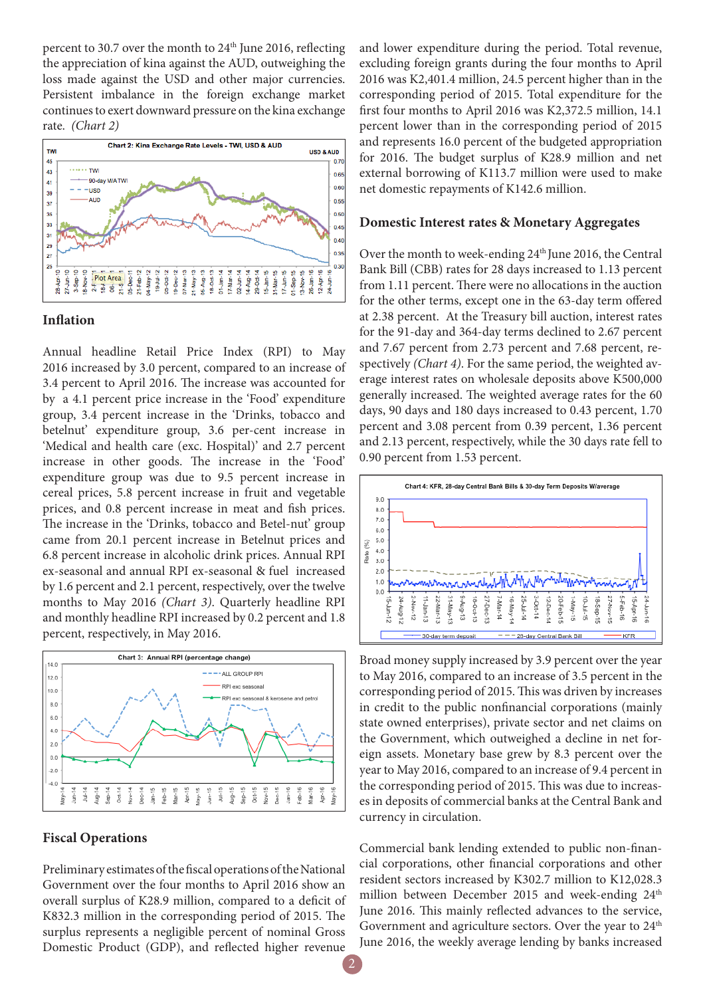percent to 30.7 over the month to  $24<sup>th</sup>$  June 2016, reflecting the appreciation of kina against the AUD, outweighing the loss made against the USD and other major currencies. Persistent imbalance in the foreign exchange market continues to exert downward pressure on the kina exchange rate. *(Chart 2)*



#### **Inflation**

Annual headline Retail Price Index (RPI) to May 2016 increased by 3.0 percent, compared to an increase of 3.4 percent to April 2016. The increase was accounted for by a 4.1 percent price increase in the 'Food' expenditure group, 3.4 percent increase in the 'Drinks, tobacco and betelnut' expenditure group, 3.6 per-cent increase in 'Medical and health care (exc. Hospital)' and 2.7 percent increase in other goods. The increase in the 'Food' expenditure group was due to 9.5 percent increase in cereal prices, 5.8 percent increase in fruit and vegetable prices, and 0.8 percent increase in meat and fish prices. The increase in the 'Drinks, tobacco and Betel-nut' group came from 20.1 percent increase in Betelnut prices and 6.8 percent increase in alcoholic drink prices. Annual RPI ex-seasonal and annual RPI ex-seasonal & fuel increased by 1.6 percent and 2.1 percent, respectively, over the twelve months to May 2016 *(Chart 3)*. Quarterly headline RPI and monthly headline RPI increased by 0.2 percent and 1.8 percent, respectively, in May 2016.



#### **Fiscal Operations**

Preliminary estimates of the fiscal operations of the National Government over the four months to April 2016 show an overall surplus of K28.9 million, compared to a deficit of K832.3 million in the corresponding period of 2015. The surplus represents a negligible percent of nominal Gross Domestic Product (GDP), and reflected higher revenue

and lower expenditure during the period. Total revenue, excluding foreign grants during the four months to April 2016 was K2,401.4 million, 24.5 percent higher than in the corresponding period of 2015. Total expenditure for the first four months to April 2016 was K2,372.5 million, 14.1 percent lower than in the corresponding period of 2015 and represents 16.0 percent of the budgeted appropriation for 2016. The budget surplus of K28.9 million and net external borrowing of K113.7 million were used to make net domestic repayments of K142.6 million.

#### **Domestic Interest rates & Monetary Aggregates**

Over the month to week-ending 24<sup>th</sup> June 2016, the Central Bank Bill (CBB) rates for 28 days increased to 1.13 percent from 1.11 percent. There were no allocations in the auction for the other terms, except one in the 63-day term offered at 2.38 percent. At the Treasury bill auction, interest rates for the 91-day and 364-day terms declined to 2.67 percent and 7.67 percent from 2.73 percent and 7.68 percent, respectively *(Chart 4)*. For the same period, the weighted average interest rates on wholesale deposits above K500,000 generally increased. The weighted average rates for the 60 days, 90 days and 180 days increased to 0.43 percent, 1.70 percent and 3.08 percent from 0.39 percent, 1.36 percent and 2.13 percent, respectively, while the 30 days rate fell to 0.90 percent from 1.53 percent.



Broad money supply increased by 3.9 percent over the year to May 2016, compared to an increase of 3.5 percent in the corresponding period of 2015. This was driven by increases in credit to the public nonfinancial corporations (mainly state owned enterprises), private sector and net claims on the Government, which outweighed a decline in net foreign assets. Monetary base grew by 8.3 percent over the year to May 2016, compared to an increase of 9.4 percent in the corresponding period of 2015. This was due to increases in deposits of commercial banks at the Central Bank and currency in circulation.

Commercial bank lending extended to public non-financial corporations, other financial corporations and other resident sectors increased by K302.7 million to K12,028.3 million between December 2015 and week-ending 24<sup>th</sup> June 2016. This mainly reflected advances to the service, Government and agriculture sectors. Over the year to  $24<sup>th</sup>$ June 2016, the weekly average lending by banks increased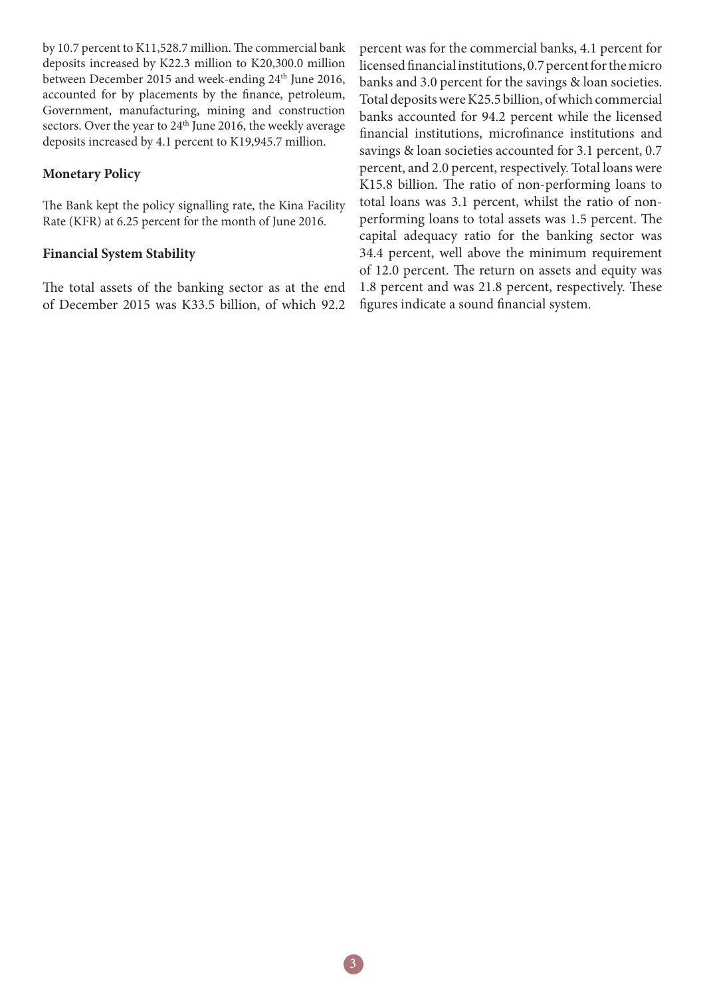by 10.7 percent to K11,528.7 million. The commercial bank deposits increased by K22.3 million to K20,300.0 million between December 2015 and week-ending 24<sup>th</sup> June 2016, accounted for by placements by the finance, petroleum, Government, manufacturing, mining and construction sectors. Over the year to 24<sup>th</sup> June 2016, the weekly average deposits increased by 4.1 percent to K19,945.7 million.

#### **Monetary Policy**

The Bank kept the policy signalling rate, the Kina Facility Rate (KFR) at 6.25 percent for the month of June 2016.

#### **Financial System Stability**

The total assets of the banking sector as at the end of December 2015 was K33.5 billion, of which 92.2

percent was for the commercial banks, 4.1 percent for licensed financial institutions, 0.7 percent for the micro banks and 3.0 percent for the savings & loan societies. Total deposits were K25.5 billion, of which commercial banks accounted for 94.2 percent while the licensed financial institutions, microfinance institutions and savings & loan societies accounted for 3.1 percent, 0.7 percent, and 2.0 percent, respectively. Total loans were K15.8 billion. The ratio of non-performing loans to total loans was 3.1 percent, whilst the ratio of nonperforming loans to total assets was 1.5 percent. The capital adequacy ratio for the banking sector was 34.4 percent, well above the minimum requirement of 12.0 percent. The return on assets and equity was 1.8 percent and was 21.8 percent, respectively. These figures indicate a sound financial system.